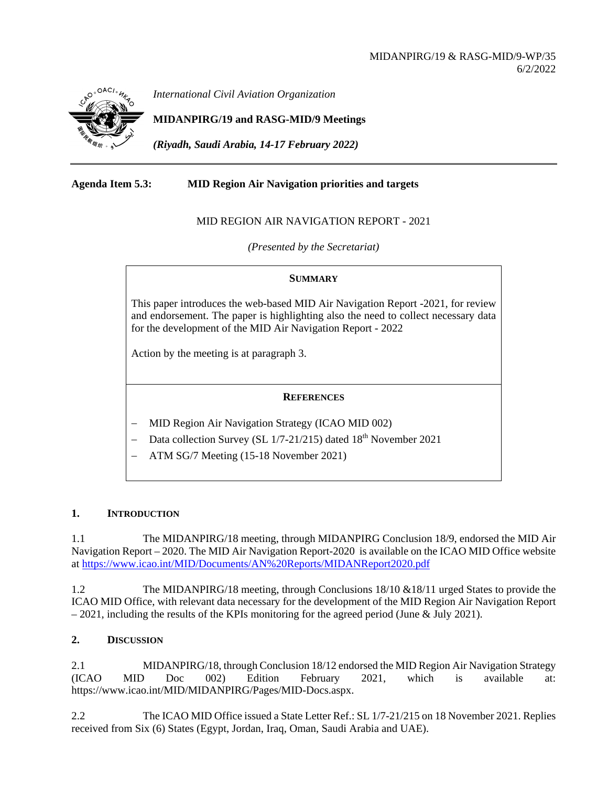

*International Civil Aviation Organization*

**MIDANPIRG/19 and RASG-MID/9 Meetings**

*(Riyadh, Saudi Arabia, 14-17 February 2022)*

# **Agenda Item 5.3: MID Region Air Navigation priorities and targets**

# MID REGION AIR NAVIGATION REPORT - 2021

*(Presented by the Secretariat)*

### **SUMMARY**

This paper introduces the web-based MID Air Navigation Report -2021, for review and endorsement. The paper is highlighting also the need to collect necessary data for the development of the MID Air Navigation Report - 2022

Action by the meeting is at paragraph 3.

## **REFERENCES**

- − MID Region Air Navigation Strategy (ICAO MID 002)
- − Data collection Survey (SL 1/7-21/215) dated 18th November 2021
- − ATM SG/7 Meeting (15-18 November 2021)

## **1. INTRODUCTION**

1.1 The MIDANPIRG/18 meeting, through MIDANPIRG Conclusion 18/9, endorsed the MID Air Navigation Report – 2020. The MID Air Navigation Report-2020 is available on the ICAO MID Office website at<https://www.icao.int/MID/Documents/AN%20Reports/MIDANReport2020.pdf>

1.2 The MIDANPIRG/18 meeting, through Conclusions 18/10 &18/11 urged States to provide the ICAO MID Office, with relevant data necessary for the development of the MID Region Air Navigation Report  $-2021$ , including the results of the KPIs monitoring for the agreed period (June & July 2021).

## **2. DISCUSSION**

2.1 MIDANPIRG/18, through Conclusion 18/12 endorsed the MID Region Air Navigation Strategy (ICAO MID Doc 002) Edition February 2021, which is available at: https://www.icao.int/MID/MIDANPIRG/Pages/MID-Docs.aspx.

2.2 The ICAO MID Office issued a State Letter Ref.: SL 1/7-21/215 on 18 November 2021. Replies received from Six (6) States (Egypt, Jordan, Iraq, Oman, Saudi Arabia and UAE).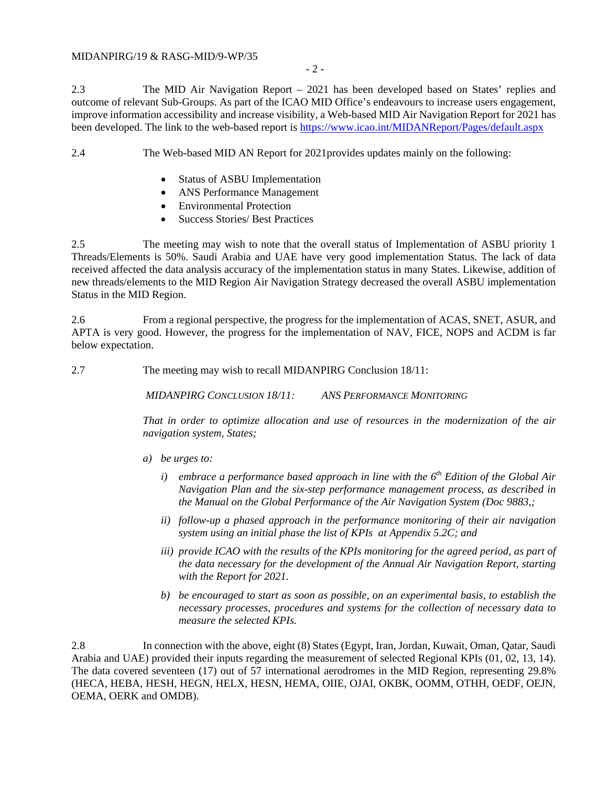### MIDANPIRG/19 & RASG-MID/9-WP/35

2.3 The MID Air Navigation Report – 2021 has been developed based on States' replies and outcome of relevant Sub-Groups. As part of the ICAO MID Office's endeavours to increase users engagement, improve information accessibility and increase visibility, a Web-based MID Air Navigation Report for 2021 has been developed. The link to the web-based report is<https://www.icao.int/MIDANReport/Pages/default.aspx>

2.4 The Web-based MID AN Report for 2021provides updates mainly on the following:

- Status of ASBU Implementation
- ANS Performance Management
- Environmental Protection
- Success Stories/ Best Practices

2.5 The meeting may wish to note that the overall status of Implementation of ASBU priority 1 Threads/Elements is 50%. Saudi Arabia and UAE have very good implementation Status. The lack of data received affected the data analysis accuracy of the implementation status in many States. Likewise, addition of new threads/elements to the MID Region Air Navigation Strategy decreased the overall ASBU implementation Status in the MID Region.

2.6 From a regional perspective, the progress for the implementation of ACAS, SNET, ASUR, and APTA is very good. However, the progress for the implementation of NAV, FICE, NOPS and ACDM is far below expectation.

2.7 The meeting may wish to recall MIDANPIRG Conclusion 18/11:

*MIDANPIRG CONCLUSION 18/11: ANS PERFORMANCE MONITORING*

*That in order to optimize allocation and use of resources in the modernization of the air navigation system, States;*

- *a) be urges to:*
	- *i*) *embrace a performance based approach in line with the 6<sup>th</sup> <i>Edition of the Global Air Navigation Plan and the six-step performance management process, as described in the Manual on the Global Performance of the Air Navigation System (Doc 9883,;*
	- *ii) follow-up a phased approach in the performance monitoring of their air navigation system using an initial phase the list of KPIs at Appendix 5.2C; and*
	- *iii) provide ICAO with the results of the KPIs monitoring for the agreed period, as part of the data necessary for the development of the Annual Air Navigation Report, starting with the Report for 2021.*
	- *b) be encouraged to start as soon as possible, on an experimental basis, to establish the necessary processes, procedures and systems for the collection of necessary data to measure the selected KPIs.*

2.8 In connection with the above, eight (8) States (Egypt, Iran, Jordan, Kuwait, Oman, Qatar, Saudi Arabia and UAE) provided their inputs regarding the measurement of selected Regional KPIs (01, 02, 13, 14). The data covered seventeen (17) out of 57 international aerodromes in the MID Region, representing 29.8% (HECA, HEBA, HESH, HEGN, HELX, HESN, HEMA, OIIE, OJAI, OKBK, OOMM, OTHH, OEDF, OEJN, OEMA, OERK and OMDB).